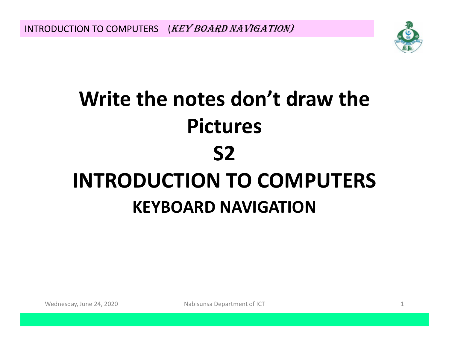INTRODUCTION TO COMPUTERS (KEY BOARD NAVIGATION)



# **Write the notes don't draw the PicturesS2 INTRODUCTION TO COMPUTERS KEYBOARD NAVIGATION**

Wednesday, June 24, 2020

Nabisunsa Department of ICT 1 and 1 and 2 and 2 and 2 and 2 and 2 and 2 and 2 and 2 and 2 and 2 and 2 and 2 and 2 and 2 and 2 and 2 and 2 and 2 and 2 and 2 and 2 and 2 and 2 and 2 and 2 and 2 and 2 and 2 and 2 and 2 and 2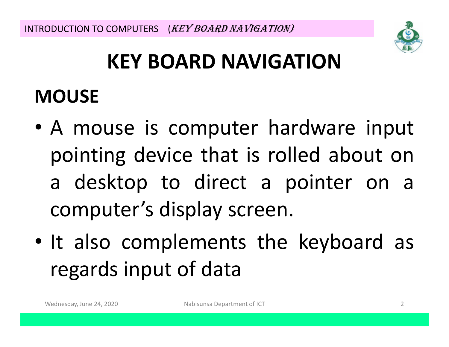

# **KEY BOARD NAVIGATION**

## **MOUSE**

- • <sup>A</sup> mouse is computer hardware input pointing device that is rolled about on a desktop to direct <sup>a</sup> pointer on <sup>a</sup> computer's display screen.
- •• It also complements the keyboard as regards input of data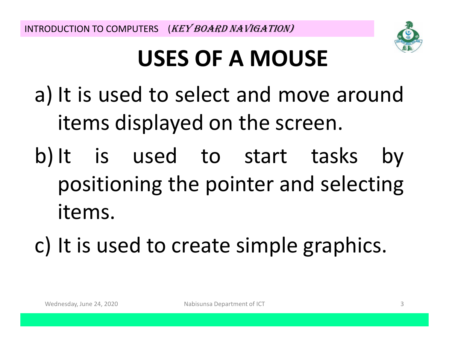

# **USES OF A MOUSE**

a) It is used to select and move around items displayed on the screen.

b) It is used to start tasks by positioning the pointer and selecting items.

c) It is used to create simple graphics.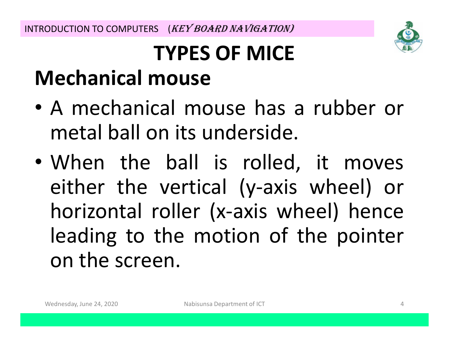

# **TYPES OF MICEMechanical mouse**

- • <sup>A</sup> mechanical mouse has <sup>a</sup> rubber or metal ball on its underside.
- • When the ball is rolled, it moves either the vertical (y-axis wheel) or horizontal roller (x-axis wheel) hence leading to the motion of the pointer onn the screen.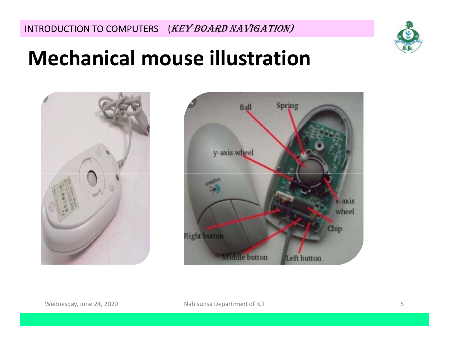

## **Mechanical mouse illustration**



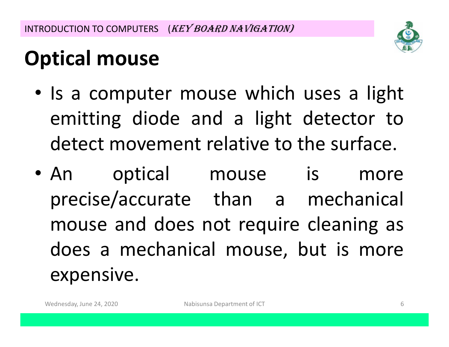

# **Optical mouse**

- Is <sup>a</sup> computer mouse which uses <sup>a</sup> light emitting diode and <sup>a</sup> light detector todetect movement relative to the surface.
- An optical mouse is more precise/accurate than <sup>a</sup> mechanical mouse and does not require cleaning as does <sup>a</sup> mechanical mouse, but is more expensive.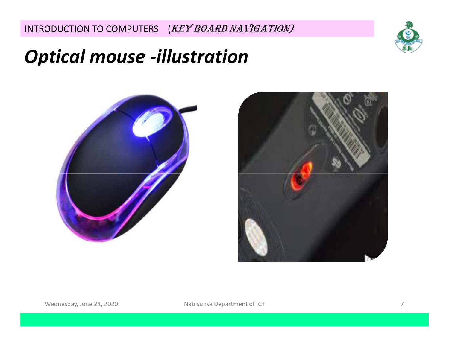INTRODUCTION TO COMPUTERS (KEY BOARD NAVIGATION)



#### *Optical mouse -illustration*



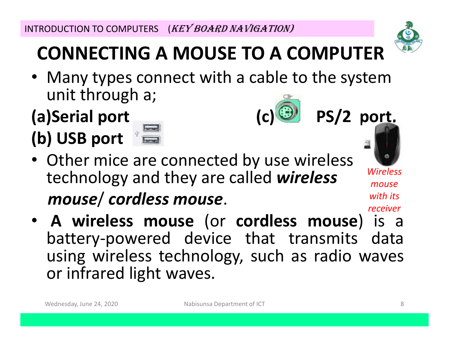## **CONNECTING A MOUSE TO A COMPUTER**

 • Many types connect with a cable to the system unit through a;

## **(a)Serial port (c) PS/2 port, (b) USB port**



- Other mice are connected by use wireless technology and they are called *wireless Wireless mouse*/ *cordless mouse*.
- **<sup>A</sup> wireless mouse** (or **cordless mouse**) is <sup>a</sup> battery-powered device that transmits data using wireless technology, such as radio waves or infrared light waves. *receiver*



*mouse* 

*with its*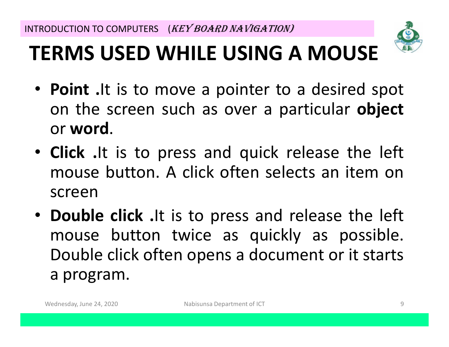

# **TERMS USED WHILE USING A MOUSE**

- **Point .**It is to move <sup>a</sup> pointer to <sup>a</sup> desired spot on the screen such as over <sup>a</sup> particular **object** or **word**.
- **Click .**It is to press and quick release the left mouse button. A click often selects an item on<br>scroon screen
- **Double click .**It is to press and release the left mouse button twice as quickly as possible. Double click often opens <sup>a</sup> document or it starts <sup>a</sup> program.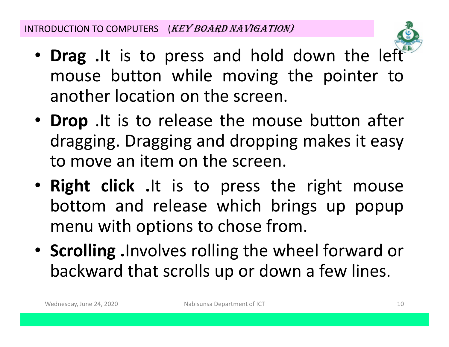

- **Drag .**It is to press and hold down the left mouse button while moving the pointer toanother location on the screen.
- **Drop** .It is to release the mouse button after dragging. Dragging and dropping makes it easy to move an item on the screen.<br>
- **Right click .**It is to press the right mouse bottom and release which brings up popup<br>monuwith ontions to chose from menu with options to chose from.
- **Scrolling .**Involves rolling the wheel forward or backward that scrolls up or down <sup>a</sup> few lines.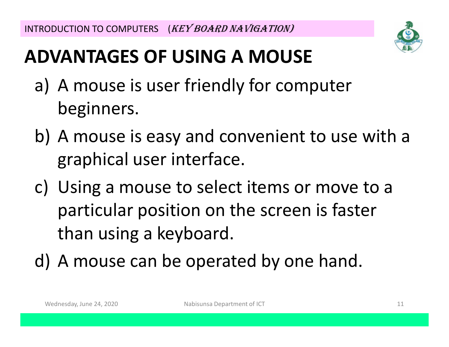

## **ADVANTAGES OF USING A MOUSE**

- a) A mouse is user friendly for computer beginners.
- b) A mouse is easy and convenient to use with a graphical user interface.
- c) Using a mouse to select items or move to a particular position on the screen is faster than using a keyboard.
- d) A mouse can be operated by one hand.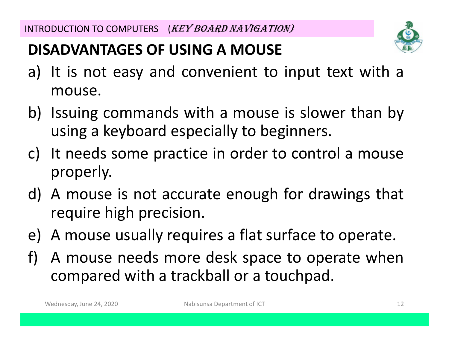#### **DISADVANTAGES OF USING A MOUSE**

- a) It is not easy and convenient to input text with <sup>a</sup> mouse.
- b) Issuing commands with <sup>a</sup> mouse is slower than by using <sup>a</sup> keyboard especially to beginners.
- c) It needs some practice in order to control <sup>a</sup> mouse properly.
- d) <sup>A</sup> mouse is not accurate enough for drawings that require high precision.
- e) <sup>A</sup> mouse usually requires <sup>a</sup> flat surface to operate.
- f) <sup>A</sup> mouse needs more desk space to operate whencompared with <sup>a</sup> trackball or <sup>a</sup> touchpad.

Wednesday, June 24, 2020 Nabisunsa Department of ICT Nabisunsa Department of ICT 12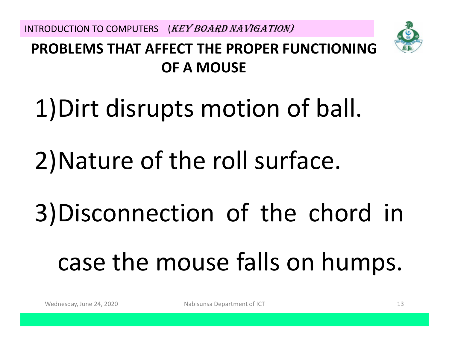INTRODUCTION TO COMPUTERS (KEY BOARD NAVIGATION)



#### **PROBLEMS THAT AFFECT THE PROPER FUNCTIONING OF A MOUSE**

# 1)Dirt disrupts motion of ball.

# 2)Nature of the roll surface.

# 3)Disconnection of the chord in casee the mouse falls on humps.

Wednesday, June 24, 2020 Nabisunsa Department of ICT Nabisunsa Department of ICT 13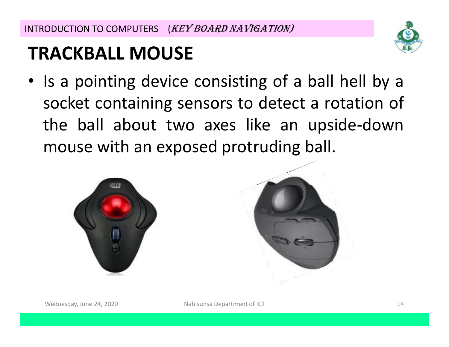INTRODUCTION TO COMPUTERS (KEY BOARD NAVIGATION)

## **TRACKBALL MOUSE**



• Is <sup>a</sup> pointing device consisting of <sup>a</sup> ball hell by <sup>a</sup> socket containing sensors to detect <sup>a</sup> rotation of the ball about two axes like an upside-down mouse with an exposed protruding ball.



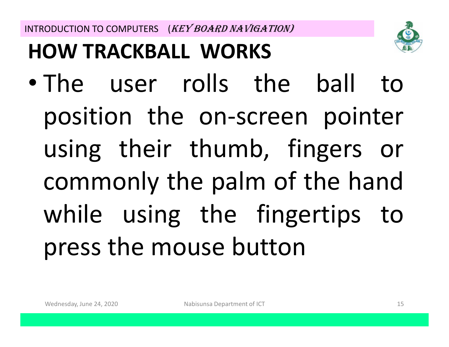**HOW TRACKBALL WORKS**



# $\bullet$  The user rolls the ball to position the on-screen pointer using their thumb, fingers or commonly the palm of the hand<br>while writes the fines time to while using the fingertips topresss the mouse button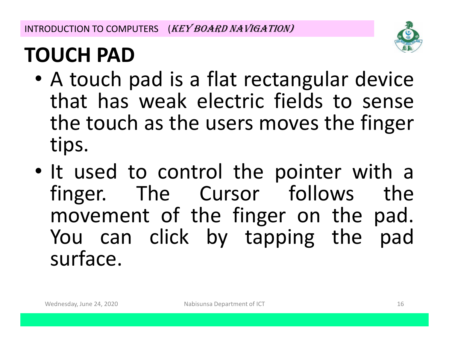

# **TOUCH PAD**

- $\bullet$   $\Lambda$  tauch • A touch pad is a flat rectangular device that has weak electric fields to sense the touch as the users moves the finger tips.
- •• It used to control the pointer with a finger. The Cursor follows the movement of the finger on the pad. You can click by tapping the pad surface.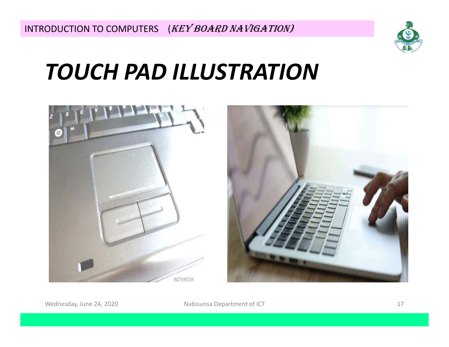

# *TOUCH PAD ILLUSTRATION*





Wednesday, June 24, 2020 Mabisunsa Department of ICT Nednesday, June 24, 2020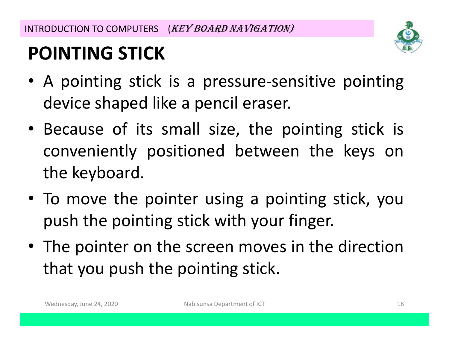

## **POINTING STICK**

- <sup>A</sup> pointing stick is <sup>a</sup> pressure-sensitive pointing device shaped like <sup>a</sup> pencil eraser.
- Because of its small size, the pointing stick is conveniently positioned between the keys on the keyboard.
- To move the pointer using <sup>a</sup> pointing stick, you push the pointing stick with your finger.
- The pointer on the screen moves in the direction that you push the pointing stick.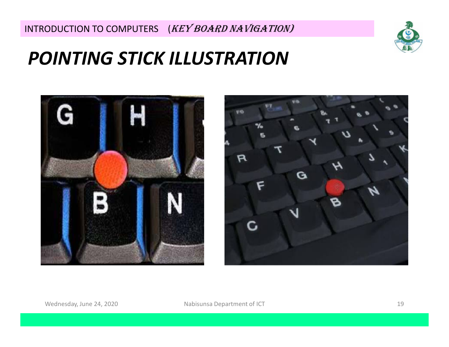

#### *POINTING STICK ILLUSTRATION*



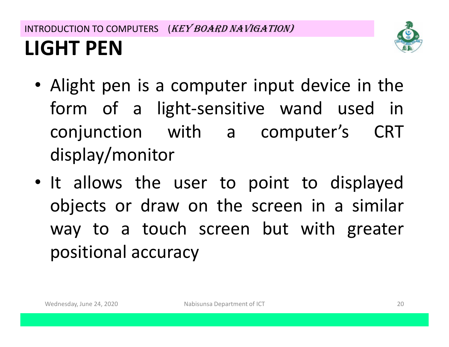#### INTRODUCTION TO COMPUTERS (KEY BOARD NAVIGATION) **LIGHT PEN**



- Alight pen is <sup>a</sup> computer input device in the form of a light-sensitive wand used in<br>seniumation with a sensuitar's CPT conjunction with <sup>a</sup> computer's CRT display/monitor
- It allows the user to point to displayed objects or draw on the screen in a similar way to <sup>a</sup> touch screen but with greater positional accuracy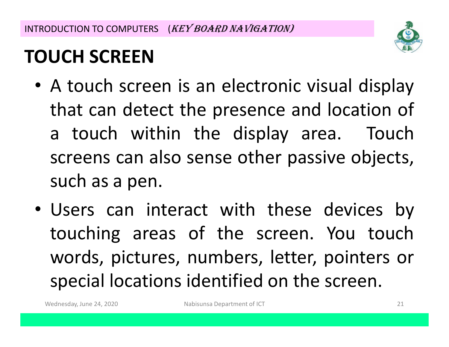

## **TOUCH SCREEN**

- <sup>A</sup> touch screen is an electronic visual display that can detect the presence and location of <sup>a</sup> touch within the display area. Touch screens can also sense other passive objects, such as <sup>a</sup> pen.
- Users can interact with these devices by touching areas of the screen. You touch words, pictures, numbers, letter, pointers or special locations identified on the screen.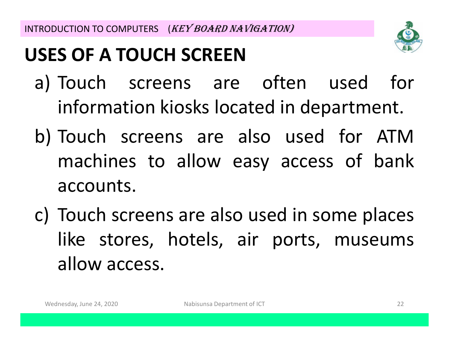## **USES OF A TOUCH SCREEN**



- a) Touch screens are often used for information kiosks located in department.
- b) Touch screens are also used for ATMmachines to allow easy access of bank accounts.
- c) Touch screens are also used in some places like stores, hotels, air ports, museums allow access.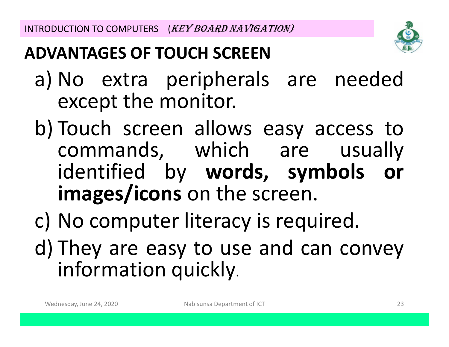

#### **ADVANTAGES OF TOUCH SCREEN**

- a) No extra peripherals are needed except the monitor.
- b) Touch screen allows easy access to commands, which are usually identified by **words, symbols or images/icons**s on the screen.
- c) No computer literacy is required. d) They are easy to use and can convey information quickly.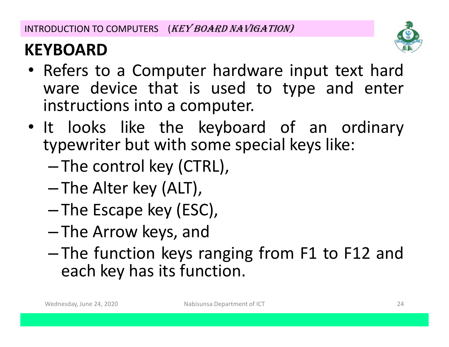

#### **KEYBOARD**

- Refers to <sup>a</sup> Computer hardware input text hard ware device that is used to type and enter instructions into <sup>a</sup> computer.
- It looks like the keyboard of an ordinary typewriter but with some special keys like:
	- –The control key (CTRL),
	- –—The Alter key (ALT),
	- –The Escape key (ESC),
	- –-The Arrow keys, and<br>The Constanting
	- – The function keys ranging from F1 to F12 and each key has its function.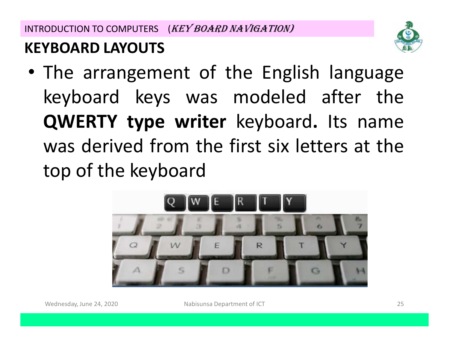#### **KEYBOARD LAYOUTS**

• The arrangement of the English language keyboard keys was modeled after the **QWERTY type writer** keyboard**.** Its name was derived from the first six letters at the<br>tape of the korder red top of the keyboard

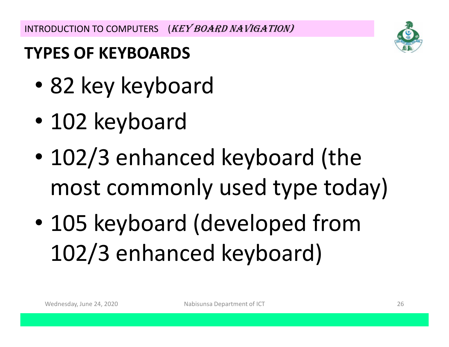INTRODUCTION TO COMPUTERS (KEY BOARD NAVIGATION)

#### **TYPES OF KEYBOARDS**

- •82 key keyboard
- •102 keyboard
- $\bullet$  102/3 enhanced keyboard (the most commonly used type today)
- $\bullet$  105 keyboard (developed from 102/3 enhanced keyboard)

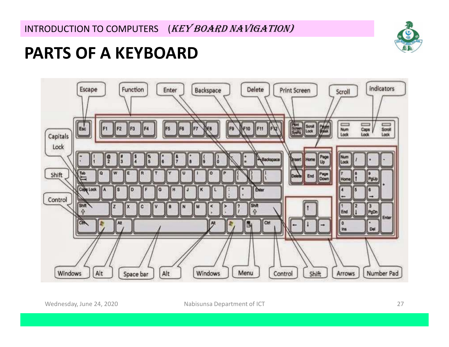

#### **PARTS OF A KEYBOARD**



Wednesday, June 24, 2020 Mabisunsa Department of ICT 27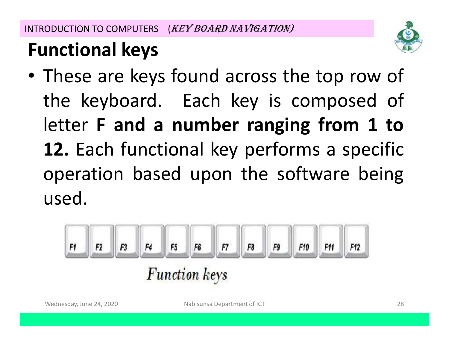

## **Functional keys**

• These are keys found across the top row of the keyboard. Each key is composed of letter **<sup>F</sup> and <sup>a</sup> number ranging from <sup>1</sup> to 12.** Each functional key performs <sup>a</sup> specific operation based upon the software being used.

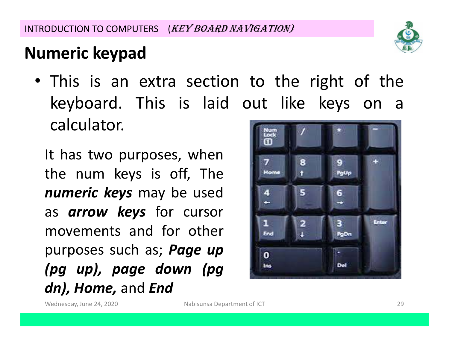#### **Numeric keypad**

• This is an extra section to the right of the keyboard. This is laid out like keys on <sup>a</sup> calculator.

It has two purposes, whenthe num keys is off, The<br>numerialseus.com he used *numeric keys* may be used as *arrow keys* for cursor movements and for other purposes such as; *Page up (pg up), page down (pgdn), Home,* and *End*



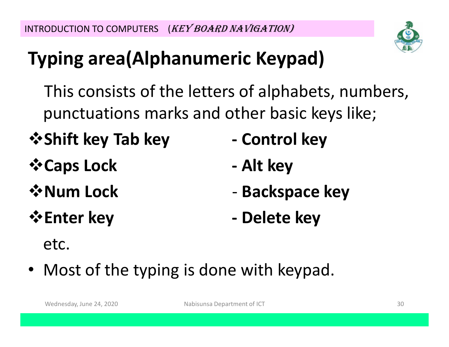## **Typing area(Alphanumeric Keypad)**

This consists of the letters of alphabets, numbers,punctuations marks and other basic keys like;

- *<del>❖</del>* **Shift key Tab key**  $\qquad$  **Control key**
- **Caps Lock**
- **☆Num Lock**
- 
- 
- **- Alt key**
- **Backspace key**
- **Enter key - Delete key**

etc.

• Most of the typing is done with keypad.

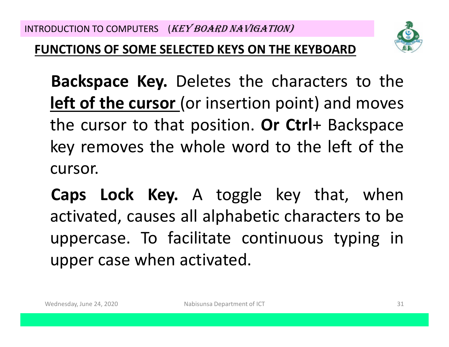

#### **FUNCTIONS OF SOME SELECTED KEYS ON THE KEYBOARD**

**Backspace Key.** Deletes the characters to the **left of the cursor** (or insertion point) and moves the cursor to that position. **Or Ctrl**<sup>+</sup> Backspace key removes the whole word to the left of the cursor.

**Caps Lock Key.** <sup>A</sup> toggle key that, when activated, causes all alphabetic characters to be uppercase. To facilitate continuous typing in upper case when activated.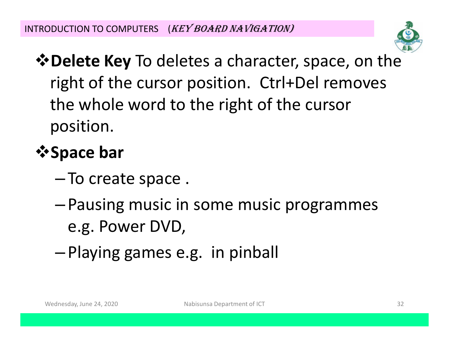

 $\diamond$  **Delete Key** To deletes a character, space, on the right of the cursor position. Ctrl+Del removes the whole word to the right of the cursor position.

## *<b>∵Space bar*

- –- To create space .
- – Pausing music in some music programmes e.g. Power DVD,
- –Playing games e.g. in pinball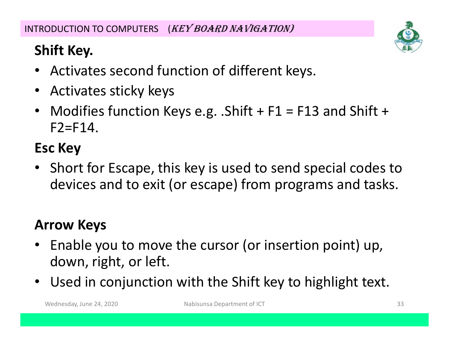#### **Shift Key.**

- •Activates second function of different keys.
- •Activates sticky keys
- •Modifies function Keys e.g. .Shift  $+$  F1 = F13 and Shift  $+$  $F2=F14.$

#### **Esc Key**

• Short for Escape, this key is used to send special codes to devices and to exit (or escape) from programs and tasks.

#### **Arrow Keys**

- • Enable you to move the cursor (or insertion point) up, down, right, or left.
- $\bullet$ Used in conjunction with the Shift key to highlight text.

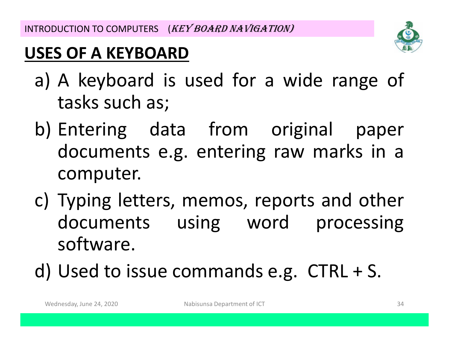#### **USES OF A KEYBOARD**

- a) <sup>A</sup> keyboard is used for <sup>a</sup> wide range of tasks such as;
- b) Entering data from original paper<br>documents e.g ontering raw marks in a documents e.g. entering raw marks in a<br>computer computer.
- c) Typing letters, memos, reports and other documents using word processing software.
- d) Used to issue commands e.g. CTRL <sup>+</sup> S.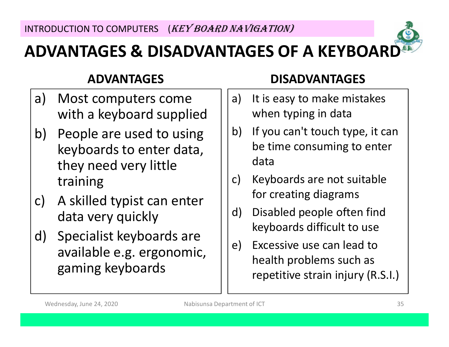

#### **ADVANTAGES & DISADVANTAGES OF A KEYBOARD**

#### **ADVANTAGES**

- a) Most computers come with a keyboard supplied
- b) People are used to using keyboards to enter data, they need very little training
- c) A skilled typist can enter data very quickly
- d) Specialist keyboards are available e.g. ergonomic, gaming keyboards

#### **DISADVANTAGES**

- a) It is easy to make mistakes when typing in data
- b) If you can't touch type, it can be time consuming to enter data
- c) Keyboards are not suitable for creating diagrams
- d) Disabled people often find keyboards difficult to use
- e) Excessive use can lead to health problems such as repetitive strain injury (R.S.I.)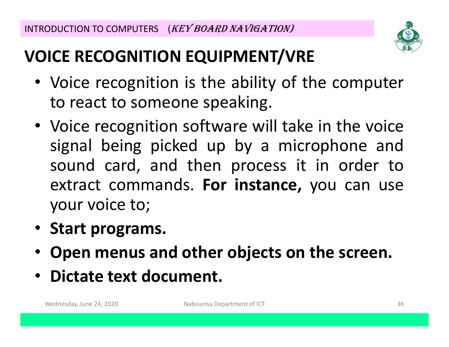

### **VOICE RECOGNITION EQUIPMENT/VRE**

- Voice recognition is the ability of the computer to react to someone speaking.
- Voice recognition software will take in the voice signal being picked up by <sup>a</sup> microphone and sound card, and then process it in order to extract commands. **For instance,** you can use your voice to;
- **Start programs.**
- •**Open menus and other objects on the screen.**
- **Dictate text document.**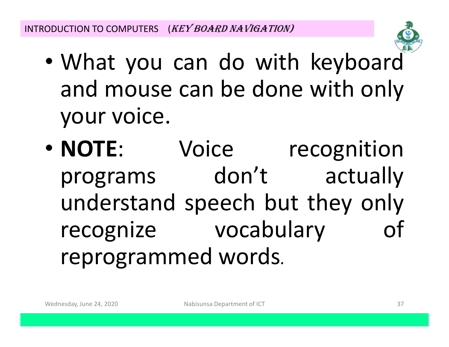

- $\bullet$  What you can do with keyboard and mouse can be done with only your voice.
- NOTE: Voice recognition programs don't actuall don't actually understand speech but they only recognizevocabulary reprogrammed words*.*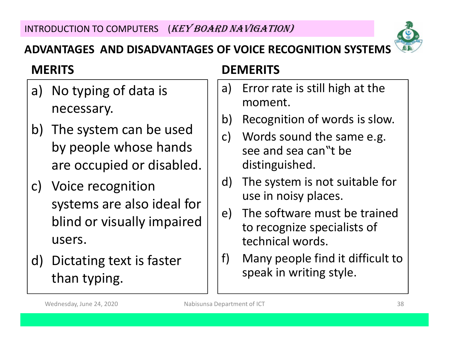

#### **ADVANTAGES AND DISADVANTAGES OF VOICE RECOGNITION SYSTEMS**

#### **MERITS**

- a) No typing of data is necessary.
- b) The system can be used by people whose hands are occupied or disabled.
- c) Voice recognition systems are also ideal for blind or visually impaired users.
- d) Dictating text is faster than typing.

#### **DEMERITS**

- a) Error rate is still high at the moment.
- b) Recognition of words is slow.
- c) Words sound the same e.g. see and sea can"t be distinguished.
- d) The system is not suitable for use in noisy places.
- e) The software must be trained to recognize specialists of technical words.
- f) Many people find it difficult to speak in writing style.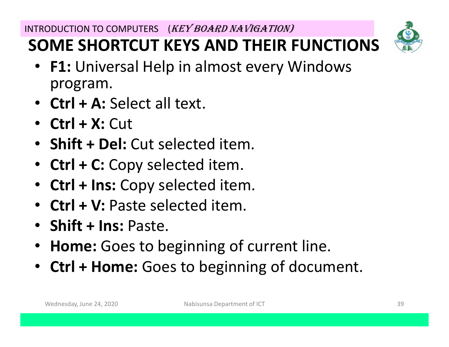### **SOME SHORTCUT KEYS AND THEIR FUNCTIONS**



- **F1:** Universal Help in almost every Windows program.
- **Ctrl + A:** Select all text.
- **Ctrl + X:** Cut
- **Shift + Del:** Cut selected item.
- **Ctrl + C:** Copy selected item.
- •**Ctrl + Ins:** Copy selected item.
- **Ctrl + V:** Paste selected item.
- **Shift + Ins:** Paste.
- •**Home:** Goes to beginning of current line.
- **Ctrl + Home:** Goes to beginning of document.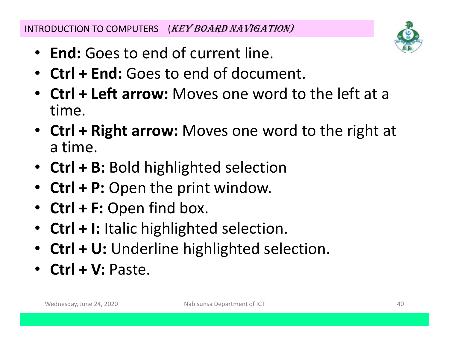INTRODUCTION TO COMPUTERS (KEY BOARD NAVIGATION)

- **End:** Goes to end of current line.
- **Ctrl + End:** Goes to end of document.
- **Ctrl + Left arrow:** Moves one word to the left at a time.
- **Ctrl + Right arrow:** Moves one word to the right at a time.
- **Ctrl + B:** Bold highlighted selection
- •**Ctrl + P:** Open the print window.
- •**Ctrl + F:** Open find box.
- •**Ctrl + I:** Italic highlighted selection.
- **Ctrl + U:** Underline highlighted selection.
- **Ctrl + V:** Paste.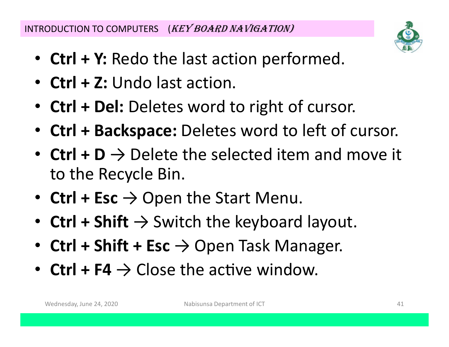INTRODUCTION TO COMPUTERS (KEY BOARD NAVIGATION)

- **Ctrl + Y:** Redo the last action performed.
- **Ctrl + Z:** Undo last action.
- **Ctrl + Del:** Deletes word to right of cursor.
- **Ctrl + Backspace:** Deletes word to left of cursor.
- **Ctrl + D** → Delete the selected item and move it to the Recycle Bin.
- **Ctrl + Esc** → Open the Start Menu.
- **Ctrl + Shift** → Switch the keyboard layout.
- **Ctrl + Shift + Esc** → Open Task Manager.
- **Ctrl + F4**  $\rightarrow$  Close the active window.